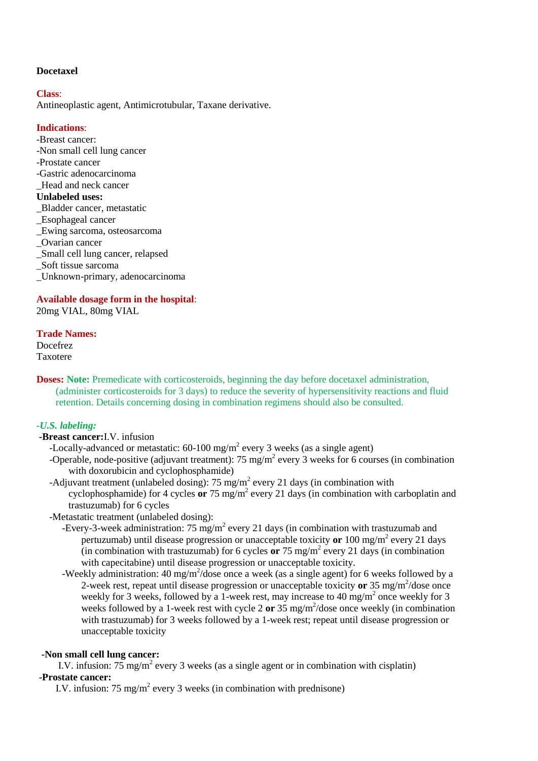## **Docetaxel**

#### **Class**:

Antineoplastic agent, Antimicrotubular, Taxane derivative.

## **Indications**:

- -Breast cancer:
- -Non small cell lung cancer
- -Prostate cancer
- -Gastric adenocarcinoma
- \_Head and neck cancer

# **Unlabeled uses:**

- \_Bladder cancer, metastatic
- \_Esophageal cancer
- \_Ewing sarcoma, osteosarcoma
- \_Ovarian cancer
- \_Small cell lung cancer, relapsed
- \_Soft tissue sarcoma
- \_Unknown-primary, adenocarcinoma

# **Available dosage form in the hospital**:

20mg VIAL, 80mg VIAL

#### **Trade Names:**

Docefrez Taxotere

**Doses: Note:** Premedicate with corticosteroids, beginning the day before docetaxel administration, (administer corticosteroids for 3 days) to reduce the severity of hypersensitivity reactions and fluid retention. Details concerning dosing in combination regimens should also be consulted.

# *-U.S. labeling:*

## **-Breast cancer:**I.V. infusion

- -Locally-advanced or metastatic:  $60-100$  mg/m<sup>2</sup> every 3 weeks (as a single agent)
- -Operable, node-positive (adjuvant treatment): 75 mg/m<sup>2</sup> every 3 weeks for 6 courses (in combination with doxorubicin and cyclophosphamide)
- -Adjuvant treatment (unlabeled dosing): 75 mg/m<sup>2</sup> every 21 days (in combination with cyclophosphamide) for 4 cycles **or** 75 mg/m<sup>2</sup> every 21 days (in combination with carboplatin and trastuzumab) for 6 cycles

-Metastatic treatment (unlabeled dosing):

- -Every-3-week administration: 75 mg/m<sup>2</sup> every 21 days (in combination with trastuzumab and pertuzumab) until disease progression or unacceptable toxicity **or** 100 mg/m<sup>2</sup> every 21 days  $\overline{\text{(in combination with trastuzumab)}}$  for 6 cycles or 75 mg/m<sup>2</sup> every 21 days (in combination with capecitabine) until disease progression or unacceptable toxicity.
- -Weekly administration: 40 mg/m<sup>2</sup>/dose once a week (as a single agent) for 6 weeks followed by a 2-week rest, repeat until disease progression or unacceptable toxicity or 35 mg/m<sup>2</sup>/dose once weekly for 3 weeks, followed by a 1-week rest, may increase to 40 mg/m<sup>2</sup> once weekly for 3 weeks followed by a 1-week rest with cycle 2 or 35 mg/m<sup>2</sup>/dose once weekly (in combination with trastuzumab) for 3 weeks followed by a 1-week rest; repeat until disease progression or unacceptable toxicity

#### **-Non small cell lung cancer:**

I.V. infusion:  $75 \text{ mg/m}^2$  every 3 weeks (as a single agent or in combination with cisplatin)

# **-Prostate cancer:**

I.V. infusion: 75 mg/m<sup>2</sup> every 3 weeks (in combination with prednisone)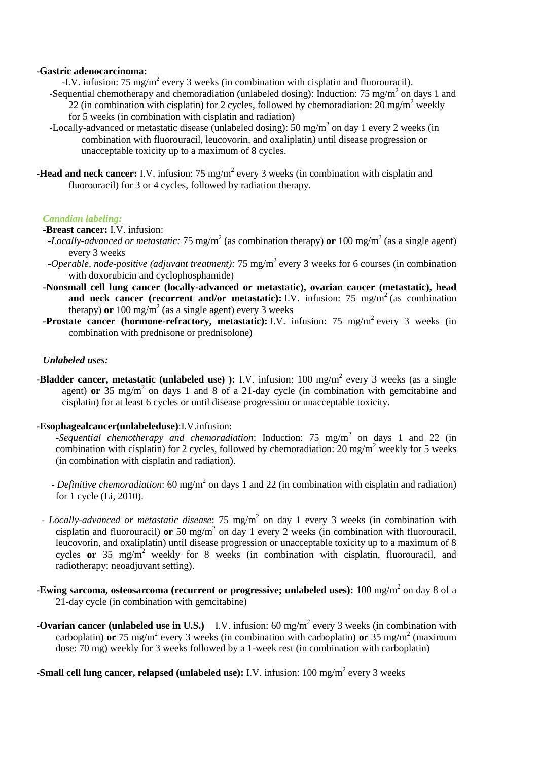#### **-Gastric adenocarcinoma:**

-I.V. infusion: 75 mg/m<sup>2</sup> every 3 weeks (in combination with cisplatin and fluorouracil).

- -Sequential chemotherapy and chemoradiation (unlabeled dosing): Induction: 75 mg/m<sup>2</sup> on days 1 and 22 (in combination with cisplatin) for 2 cycles, followed by chemoradiation:  $20 \text{ mg/m}^2$  weekly for 5 weeks (in combination with cisplatin and radiation)
- -Locally-advanced or metastatic disease (unlabeled dosing): 50 mg/m<sup>2</sup> on day 1 every 2 weeks (in combination with fluorouracil, leucovorin, and oxaliplatin) until disease progression or unacceptable toxicity up to a maximum of 8 cycles.
- **-Head and neck cancer:** I.V. infusion: 75 mg/m<sup>2</sup> every 3 weeks (in combination with cisplatin and fluorouracil) for 3 or 4 cycles, followed by radiation therapy.

#### *Canadian labeling:*

#### **-Breast cancer:** I.V. infusion:

- *-Locally-advanced or metastatic:* 75 mg/m<sup>2</sup> (as combination therapy) **or** 100 mg/m<sup>2</sup> (as a single agent) every 3 weeks
- *-Operable, node-positive (adjuvant treatment):* 75 mg/m<sup>2</sup> every 3 weeks for 6 courses (in combination with doxorubicin and cyclophosphamide)
- **-Nonsmall cell lung cancer (locally-advanced or metastatic), ovarian cancer (metastatic), head**  and neck cancer (recurrent and/or metastatic): I.V. infusion:  $75 \text{ mg/m}^2$  (as combination therapy) **or** 100 mg/m<sup>2</sup> (as a single agent) every 3 weeks
- **-Prostate cancer (hormone-refractory, metastatic):** I.V. infusion: 75 mg/m<sup>2</sup> every 3 weeks (in combination with prednisone or prednisolone)

#### *Unlabeled uses:*

**-Bladder cancer, metastatic (unlabeled use) ):** I.V. infusion: 100 mg/m<sup>2</sup> every 3 weeks (as a single agent) **or** 35 mg/m<sup>2</sup> on days 1 and 8 of a 21-day cycle (in combination with gemcitabine and cisplatin) for at least 6 cycles or until disease progression or unacceptable toxicity.

#### **-Esophagealcancer(unlabeleduse)**:I.V.infusion:

-Sequential chemotherapy and chemoradiation: Induction: 75 mg/m<sup>2</sup> on days 1 and 22 (in combination with cisplatin) for 2 cycles, followed by chemoradiation: 20 mg/m<sup>2</sup> weekly for 5 weeks (in combination with cisplatin and radiation).

- *Definitive chemoradiation*: 60 mg/m<sup>2</sup> on days 1 and 22 (in combination with cisplatin and radiation) for 1 cycle (Li, 2010).
- *Locally-advanced or metastatic disease*: 75 mg/m<sup>2</sup> on day 1 every 3 weeks (in combination with cisplatin and fluorouracil) **or** 50 mg/m<sup>2</sup> on day 1 every 2 weeks (in combination with fluorouracil, leucovorin, and oxaliplatin) until disease progression or unacceptable toxicity up to a maximum of 8 cycles **or** 35 mg/m<sup>2</sup> weekly for 8 weeks (in combination with cisplatin, fluorouracil, and radiotherapy; neoadjuvant setting).
- **-Ewing sarcoma, osteosarcoma (recurrent or progressive; unlabeled uses):** 100 mg/m<sup>2</sup> on day 8 of a 21-day cycle (in combination with gemcitabine)
- **-Ovarian cancer (unlabeled use in U.S.)** I.V. infusion: 60 mg/m<sup>2</sup> every 3 weeks (in combination with carboplatin) **or** 75 mg/m<sup>2</sup> every 3 weeks (in combination with carboplatin) **or** 35 mg/m<sup>2</sup> (maximum dose: 70 mg) weekly for 3 weeks followed by a 1-week rest (in combination with carboplatin)
- **-Small cell lung cancer, relapsed (unlabeled use):** I.V. infusion: 100 mg/m<sup>2</sup> every 3 weeks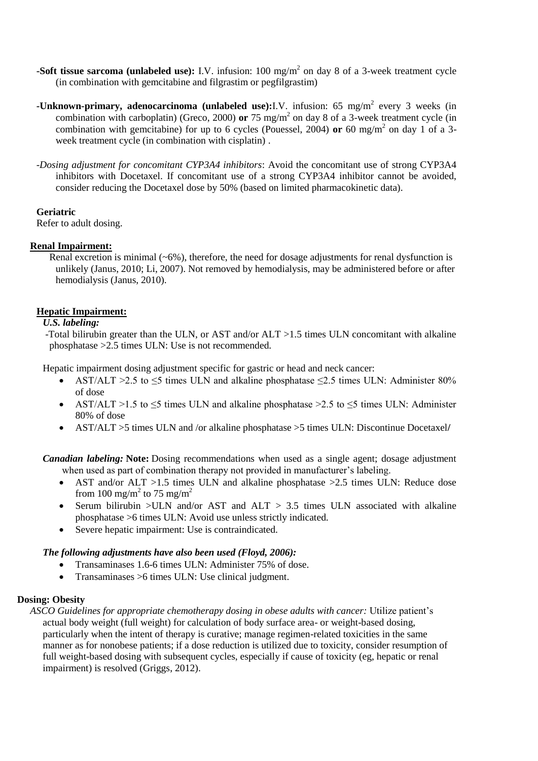- **-Soft tissue sarcoma (unlabeled use):** I.V. infusion: 100 mg/m<sup>2</sup> on day 8 of a 3-week treatment cycle (in combination with gemcitabine and filgrastim or pegfilgrastim)
- **-Unknown-primary, adenocarcinoma (unlabeled use):**I.V. infusion: 65 mg/m<sup>2</sup> every 3 weeks (in combination with carboplatin) (Greco, 2000) **or** 75 mg/m<sup>2</sup> on day 8 of a 3-week treatment cycle (in combination with gemcitabine) for up to 6 cycles (Pouessel, 2004) **or** 60 mg/m<sup>2</sup> on day 1 of a 3week treatment cycle (in combination with cisplatin) .
- -*Dosing adjustment for concomitant CYP3A4 inhibitors*: Avoid the concomitant use of strong CYP3A4 inhibitors with Docetaxel. If concomitant use of a strong CYP3A4 inhibitor cannot be avoided, consider reducing the Docetaxel dose by 50% (based on limited pharmacokinetic data).

## **Geriatric**

Refer to adult dosing.

## **Renal Impairment:**

Renal excretion is minimal  $(-6%)$ , therefore, the need for dosage adjustments for renal dysfunction is unlikely (Janus, 2010; Li, 2007). Not removed by hemodialysis, may be administered before or after hemodialysis (Janus, 2010).

## **Hepatic Impairment:**

## *U.S. labeling:*

-Total bilirubin greater than the ULN, or AST and/or ALT >1.5 times ULN concomitant with alkaline phosphatase >2.5 times ULN: Use is not recommended.

Hepatic impairment dosing adjustment specific for gastric or head and neck cancer:

- AST/ALT >2.5 to  $\leq$ 5 times ULN and alkaline phosphatase  $\leq$ 2.5 times ULN: Administer 80% of dose
- AST/ALT  $>1.5$  to  $\leq$ 5 times ULN and alkaline phosphatase  $\geq$ 2.5 to  $\leq$ 5 times ULN: Administer 80% of dose
- AST/ALT >5 times ULN and /or alkaline phosphatase >5 times ULN: Discontinue Docetaxel**/**

*Canadian labeling:* **Note:** Dosing recommendations when used as a single agent; dosage adjustment when used as part of combination therapy not provided in manufacturer's labeling.

- AST and/or ALT  $>1.5$  times ULN and alkaline phosphatase  $>2.5$  times ULN: Reduce dose from 100 mg/m<sup>2</sup> to 75 mg/m<sup>2</sup>
- Serum bilirubin >ULN and/or AST and  $ALT > 3.5$  times ULN associated with alkaline phosphatase >6 times ULN: Avoid use unless strictly indicated.
- Severe hepatic impairment: Use is contraindicated.

# *The following adjustments have also been used (Floyd, 2006):*

- Transaminases 1.6-6 times ULN: Administer 75% of dose.
- Transaminases >6 times ULN: Use clinical judgment.

#### **Dosing: Obesity**

*ASCO Guidelines for appropriate chemotherapy dosing in obese adults with cancer:* Utilize patient's actual body weight (full weight) for calculation of body surface area- or weight-based dosing, particularly when the intent of therapy is curative; manage regimen-related toxicities in the same manner as for nonobese patients; if a dose reduction is utilized due to toxicity, consider resumption of full weight-based dosing with subsequent cycles, especially if cause of toxicity (eg, hepatic or renal impairment) is resolved (Griggs, 2012).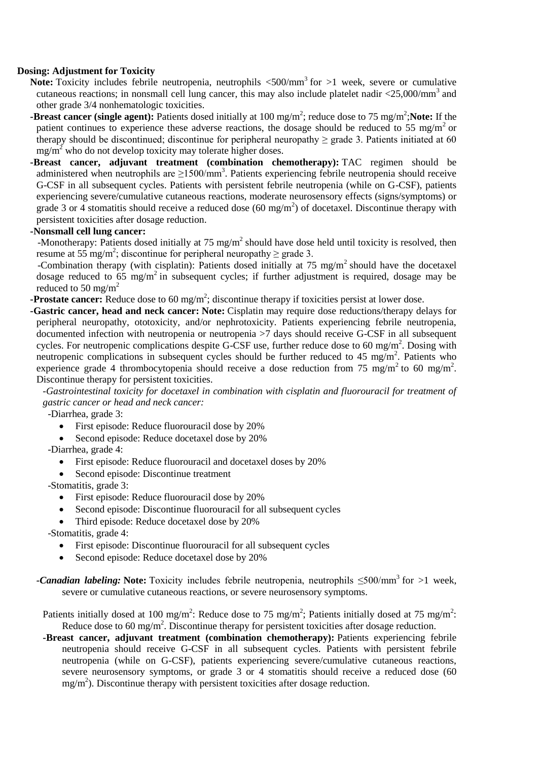## **Dosing: Adjustment for Toxicity**

- Note: Toxicity includes febrile neutropenia, neutrophils <500/mm<sup>3</sup> for >1 week, severe or cumulative cutaneous reactions; in nonsmall cell lung cancer, this may also include platelet nadir  $\langle 25,000/\text{mm}^3$  and other grade 3/4 nonhematologic toxicities.
- **-Breast cancer (single agent):** Patients dosed initially at 100 mg/m<sup>2</sup>; reduce dose to 75 mg/m<sup>2</sup>; Note: If the patient continues to experience these adverse reactions, the dosage should be reduced to 55 mg/m<sup>2</sup> or therapy should be discontinued; discontinue for peripheral neuropathy  $\geq$  grade 3. Patients initiated at 60  $mg/m<sup>2</sup>$  who do not develop toxicity may tolerate higher doses.
- **-Breast cancer, adjuvant treatment (combination chemotherapy):** TAC regimen should be administered when neutrophils are  $\geq$ 1500/mm<sup>3</sup>. Patients experiencing febrile neutropenia should receive G-CSF in all subsequent cycles. Patients with persistent febrile neutropenia (while on G-CSF), patients experiencing severe/cumulative cutaneous reactions, moderate neurosensory effects (signs/symptoms) or grade 3 or 4 stomatitis should receive a reduced dose  $(60 \text{ mg/m}^2)$  of docetaxel. Discontinue therapy with persistent toxicities after dosage reduction.

#### **-Nonsmall cell lung cancer:**

-Monotherapy: Patients dosed initially at  $75 \text{ mg/m}^2$  should have dose held until toxicity is resolved, then resume at 55 mg/m<sup>2</sup>; discontinue for peripheral neuropathy  $\geq$  grade 3.

-Combination therapy (with cisplatin): Patients dosed initially at 75 mg/m<sup>2</sup> should have the docetaxel dosage reduced to  $65 \text{ mg/m}^2$  in subsequent cycles; if further adjustment is required, dosage may be reduced to 50 mg/m<sup>2</sup>

- **-Prostate cancer:** Reduce dose to 60 mg/m<sup>2</sup>; discontinue therapy if toxicities persist at lower dose.
- **-Gastric cancer, head and neck cancer: Note:** Cisplatin may require dose reductions/therapy delays for peripheral neuropathy, ototoxicity, and/or nephrotoxicity. Patients experiencing febrile neutropenia, documented infection with neutropenia or neutropenia >7 days should receive G-CSF in all subsequent cycles. For neutropenic complications despite G-CSF use, further reduce dose to 60 mg/m<sup>2</sup>. Dosing with neutropenic complications in subsequent cycles should be further reduced to 45 mg/m<sup>2</sup>. Patients who experience grade 4 thrombocytopenia should receive a dose reduction from 75 mg/m<sup>2</sup> to 60 mg/m<sup>2</sup>. Discontinue therapy for persistent toxicities.

*-Gastrointestinal toxicity for docetaxel in combination with cisplatin and fluorouracil for treatment of gastric cancer or head and neck cancer:*

-Diarrhea, grade 3:

- First episode: Reduce fluorouracil dose by 20%
- Second episode: Reduce docetaxel dose by 20%

-Diarrhea, grade 4:

- First episode: Reduce fluorouracil and docetaxel doses by 20%
- Second episode: Discontinue treatment

-Stomatitis, grade 3:

- First episode: Reduce fluorouracil dose by 20%
- Second episode: Discontinue fluorouracil for all subsequent cycles
- Third episode: Reduce docetaxel dose by 20%

-Stomatitis, grade 4:

- First episode: Discontinue fluorouracil for all subsequent cycles
- Second episode: Reduce docetaxel dose by 20%
- *-Canadian labeling: Note:* Toxicity includes febrile neutropenia, neutrophils ≤500/mm<sup>3</sup> for >1 week, severe or cumulative cutaneous reactions, or severe neurosensory symptoms.
	- Patients initially dosed at 100 mg/m<sup>2</sup>: Reduce dose to 75 mg/m<sup>2</sup>; Patients initially dosed at 75 mg/m<sup>2</sup>: Reduce dose to 60 mg/m<sup>2</sup>. Discontinue therapy for persistent toxicities after dosage reduction.
	- **-Breast cancer, adjuvant treatment (combination chemotherapy):** Patients experiencing febrile neutropenia should receive G-CSF in all subsequent cycles. Patients with persistent febrile neutropenia (while on G-CSF), patients experiencing severe/cumulative cutaneous reactions, severe neurosensory symptoms, or grade 3 or 4 stomatitis should receive a reduced dose (60) mg/m<sup>2</sup>). Discontinue therapy with persistent toxicities after dosage reduction.